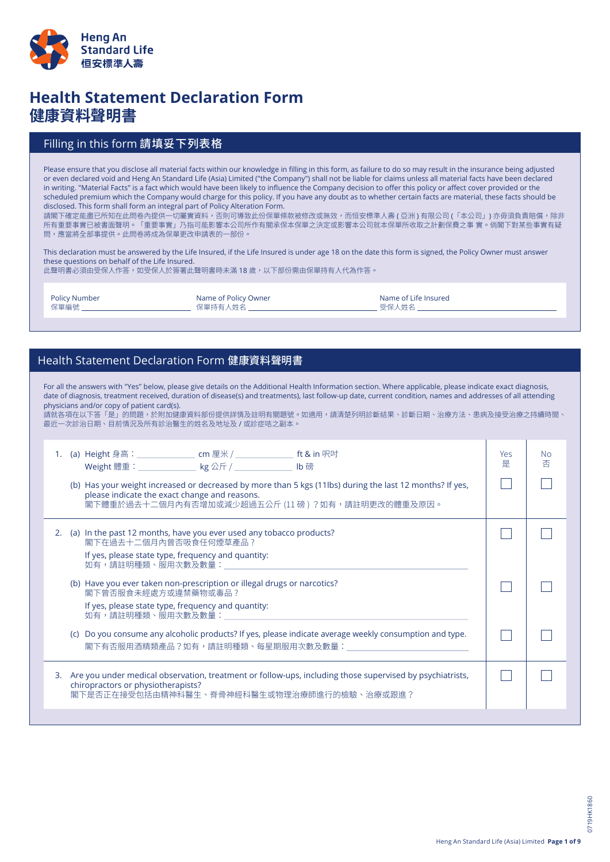

# **Health Statement Declaration Form 健康資料聲明書**

### Filling in this form 請填妥下列表格

Please ensure that you disclose all material facts within our knowledge in filling in this form, as failure to do so may result in the insurance being adjusted or even declared void and Heng An Standard Life (Asia) Limited ("the Company") shall not be liable for claims unless all material facts have been declared in writing. "Material Facts" is a fact which would have been likely to influence the Company decision to offer this policy or affect cover provided or the scheduled premium which the Company would charge for this policy. If you have any doubt as to whether certain facts are material, these facts should be disclosed. This form shall form an integral part of Policy Alteration Form.

請閣下確定能盡已所知在此問卷內提供一切屬實資料,否則可導致此份保單條款被修改或無效,而恒安標準人壽 ( 亞洲 ) 有限公司 ( 「本公司」) 亦毋須負責賠償,除非 所有重要事實已被書面聲明。「重要事實」乃指可能影響本公司所作有關承保本保單之決定或影響本公司就本保單所收取之計劃保費之事 實。倘閣下對某些事實有疑 問,應當將全部事提供。此問卷將成為保單更改申請表的一部份。

This declaration must be answered by the Life Insured, if the Life Insured is under age 18 on the date this form is signed, the Policy Owner must answer these questions on behalf of the Life Insured.

此聲明書必須由受保人作答,如受保人於簽署此聲明書時未滿 18 歲,以下部份需由保單持有人代為作答。

| <b>Policy Number</b> | Name of Policy Owner | Name of Life Insured |
|----------------------|----------------------|----------------------|
| 保單編號                 | 保單持有人姓名              | 受保人姓名                |
|                      |                      |                      |

### Health Statement Declaration Form 健康資料聲明書

| For all the answers with "Yes" below, please give details on the Additional Health Information section. Where applicable, please indicate exact diagnosis,<br>date of diagnosis, treatment received, duration of disease(s) and treatments), last follow-up date, current condition, names and addresses of all attending<br>physicians and/or copy of patient card(s).<br>請就各項在以下答「是」的問題,於附加健康資料部份提供詳情及註明有關題號。如適用,請清楚列明診斷結果、診斷日期、治療方法、患病及接受治療之持續時間、<br>最近一次診治日期、目前情況及所有診治醫生的姓名及地址及 / 或診症咭之副本。 |                                                                                                                                                       |                                                                                                                                                                                                              |          |                |
|------------------------------------------------------------------------------------------------------------------------------------------------------------------------------------------------------------------------------------------------------------------------------------------------------------------------------------------------------------------------------------------------------------------------------------------------------------------------------------------------|-------------------------------------------------------------------------------------------------------------------------------------------------------|--------------------------------------------------------------------------------------------------------------------------------------------------------------------------------------------------------------|----------|----------------|
| 1.                                                                                                                                                                                                                                                                                                                                                                                                                                                                                             |                                                                                                                                                       | (a) Height 身高:_________________ cm 厘米 / _______________ ft & in 呎吋<br>Weight 體重: ______________ kg 公斤 / _____________ lb 磅                                                                                   | Yes<br>是 | <b>No</b><br>否 |
|                                                                                                                                                                                                                                                                                                                                                                                                                                                                                                |                                                                                                                                                       | (b) Has your weight increased or decreased by more than 5 kgs (11lbs) during the last 12 months? If yes,<br>please indicate the exact change and reasons.<br>閣下體重於過去十二個月內有否增加或減少超過五公斤 (11磅) ?如有,請註明更改的體重及原因。 |          |                |
|                                                                                                                                                                                                                                                                                                                                                                                                                                                                                                | 2. (a) In the past 12 months, have you ever used any tobacco products?<br>閣下在過去十二個月內曾否吸食任何煙草產品?<br>If yes, please state type, frequency and quantity: |                                                                                                                                                                                                              |          |                |
|                                                                                                                                                                                                                                                                                                                                                                                                                                                                                                |                                                                                                                                                       | 如有,請註明種類、服用次數及數量:<br>(b) Have you ever taken non-prescription or illegal drugs or narcotics?<br>閣下曾否服食未經處方或違禁藥物或毒品?<br>If yes, please state type, frequency and quantity:<br>如有,請註明種類、服用次數及數量:               |          |                |
|                                                                                                                                                                                                                                                                                                                                                                                                                                                                                                | (c)                                                                                                                                                   | Do you consume any alcoholic products? If yes, please indicate average weekly consumption and type.<br>閣下有否服用酒精類產品?如有,請註明種類、每星期服用次數及數量:                                                                      |          |                |
|                                                                                                                                                                                                                                                                                                                                                                                                                                                                                                |                                                                                                                                                       | 3. Are you under medical observation, treatment or follow-ups, including those supervised by psychiatrists,<br>chiropractors or physiotherapists?<br>閣下是否正在接受包括由精神科醫生、脊骨神經科醫生或物理治療師進行的檢驗、治療或跟進?              |          |                |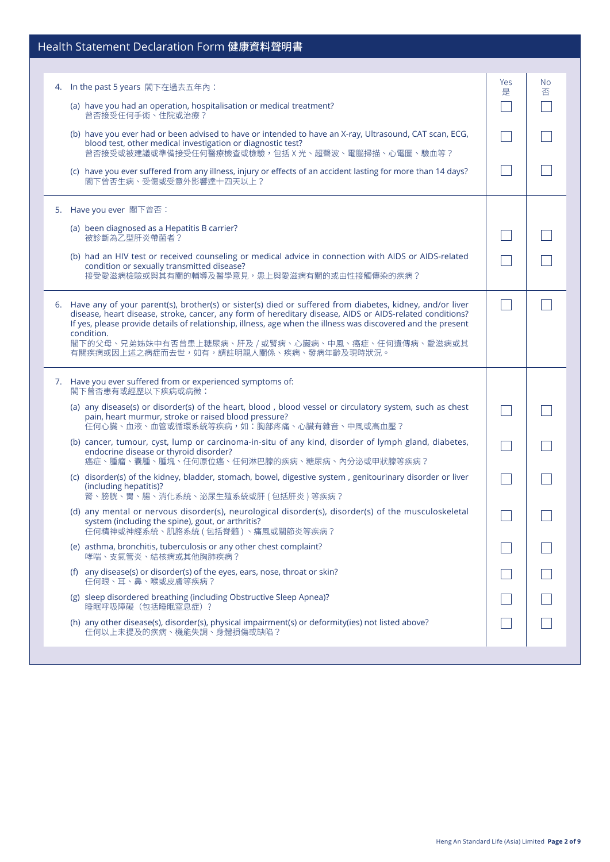## Health Statement Declaration Form 健康資料聲明書

| In the past 5 years 閣下在過去五年內:<br>4. |                                                                                                                                                                                                                                                                                                                                                                                                                                          | Yes<br>是 | No.<br>否 |
|-------------------------------------|------------------------------------------------------------------------------------------------------------------------------------------------------------------------------------------------------------------------------------------------------------------------------------------------------------------------------------------------------------------------------------------------------------------------------------------|----------|----------|
| 曾否接受任何手術、住院或治療?                     | (a) have you had an operation, hospitalisation or medical treatment?                                                                                                                                                                                                                                                                                                                                                                     |          |          |
|                                     | (b) have you ever had or been advised to have or intended to have an X-ray, Ultrasound, CAT scan, ECG,<br>blood test, other medical investigation or diagnostic test?<br>曾否接受或被建議或準備接受任何醫療檢查或檢驗,包括X光、超聲波、電腦掃描、心電圖、驗血等?                                                                                                                                                                                                                   |          |          |
|                                     | (c) have you ever suffered from any illness, injury or effects of an accident lasting for more than 14 days?<br>閣下曾否生病、受傷或受意外影響達十四天以上?                                                                                                                                                                                                                                                                                                   |          |          |
| 5. Have you ever 閣下曾否:              |                                                                                                                                                                                                                                                                                                                                                                                                                                          |          |          |
| 被診斷為乙型肝炎帶菌者?                        | (a) been diagnosed as a Hepatitis B carrier?                                                                                                                                                                                                                                                                                                                                                                                             |          |          |
|                                     | (b) had an HIV test or received counseling or medical advice in connection with AIDS or AIDS-related<br>condition or sexually transmitted disease?<br>接受愛滋病檢驗或與其有關的輔導及醫學意見,患上與愛滋病有關的或由性接觸傳染的疾病?                                                                                                                                                                                                                                          |          |          |
| condition.                          | 6. Have any of your parent(s), brother(s) or sister(s) died or suffered from diabetes, kidney, and/or liver<br>disease, heart disease, stroke, cancer, any form of hereditary disease, AIDS or AIDS-related conditions?<br>If yes, please provide details of relationship, illness, age when the illness was discovered and the present<br>閣下的父母、兄弟姊妹中有否曾患上糖尿病、肝及 / 或腎病、心臟病、中風、癌症、任何遺傳病、愛滋病或其<br>有關疾病或因上述之病症而去世,如有,請註明親人關係、疾病、發病年齡及現時狀況。 |          |          |
| 閣下曾否患有或經歷以下疾病或病徵:                   | 7. Have you ever suffered from or experienced symptoms of:                                                                                                                                                                                                                                                                                                                                                                               |          |          |
|                                     | (a) any disease(s) or disorder(s) of the heart, blood, blood vessel or circulatory system, such as chest<br>pain, heart murmur, stroke or raised blood pressure?<br>任何心臟、血液、血管或循環系統等疾病,如:胸部疼痛、心臟有雜音、中風或高血壓?                                                                                                                                                                                                                              |          |          |
|                                     | (b) cancer, tumour, cyst, lump or carcinoma-in-situ of any kind, disorder of lymph gland, diabetes,<br>endocrine disease or thyroid disorder?<br>癌症、腫瘤、囊腫、腫塊、任何原位癌、任何淋巴腺的疾病、糖尿病、內分泌或甲狀腺等疾病?                                                                                                                                                                                                                                              |          |          |
| (including hepatitis)?              | (c) disorder(s) of the kidney, bladder, stomach, bowel, digestive system, genitourinary disorder or liver<br>腎、膀胱、胃、腸、消化系統、泌尿生殖系統或肝 ( 包括肝炎 ) 等疾病?                                                                                                                                                                                                                                                                                        |          |          |
|                                     | (d) any mental or nervous disorder(s), neurological disorder(s), disorder(s) of the musculoskeletal<br>system (including the spine), gout, or arthritis?<br>任何精神或神經系統、肌胳系統 ( 包括脊髓 ) 、痛風或關節炎等疾病?                                                                                                                                                                                                                                          |          |          |
|                                     | (e) asthma, bronchitis, tuberculosis or any other chest complaint?<br>哮喘、支氣管炎、結核病或其他胸肺疾病?                                                                                                                                                                                                                                                                                                                                                |          |          |
| 任何眼、耳、鼻、喉或皮膚等疾病?                    | (f) any disease(s) or disorder(s) of the eyes, ears, nose, throat or skin?                                                                                                                                                                                                                                                                                                                                                               |          |          |
| 睡眠呼吸障礙 (包括睡眠窒息症)?                   | (g) sleep disordered breathing (including Obstructive Sleep Apnea)?                                                                                                                                                                                                                                                                                                                                                                      |          |          |
|                                     | (h) any other disease(s), disorder(s), physical impairment(s) or deformity(ies) not listed above?<br>任何以上未提及的疾病、機能失調、身體損傷或缺陷?                                                                                                                                                                                                                                                                                                            |          |          |
|                                     |                                                                                                                                                                                                                                                                                                                                                                                                                                          |          |          |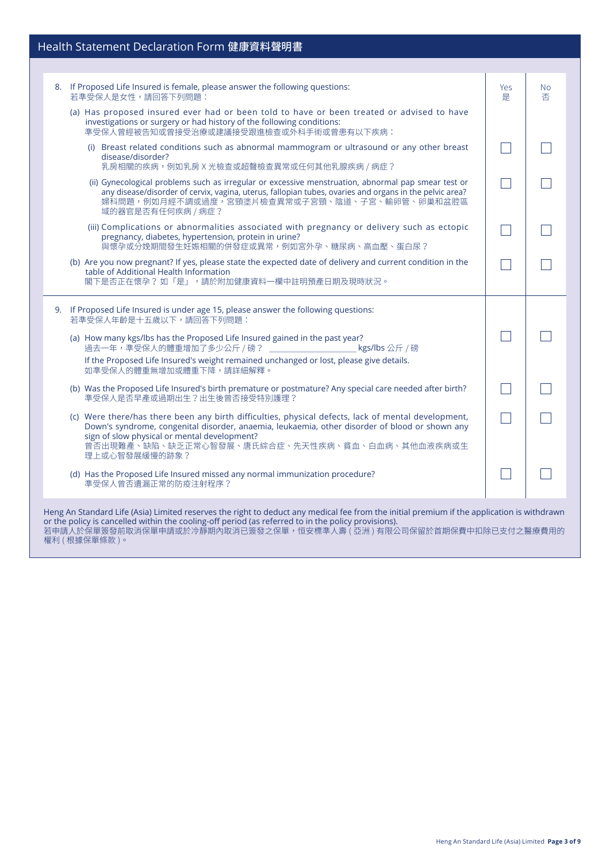# Health Statement Declaration Form 健康資料聲明書

| 8. If Proposed Life Insured is female, please answer the following questions:<br>若準受保人是女性,請回答下列問題:                                                                                                                                                                                                                        | Yes<br>是 | <b>No</b><br>否 |  |  |
|---------------------------------------------------------------------------------------------------------------------------------------------------------------------------------------------------------------------------------------------------------------------------------------------------------------------------|----------|----------------|--|--|
| (a) Has proposed insured ever had or been told to have or been treated or advised to have<br>investigations or surgery or had history of the following conditions:<br>準受保人曾經被告知或曾接受治療或建議接受跟進檢查或外科手術或曾患有以下疾病:                                                                                                              |          |                |  |  |
| (i) Breast related conditions such as abnormal mammogram or ultrasound or any other breast<br>disease/disorder?<br>乳房相關的疾病,例如乳房 X 光檢查或超聲檢查異常或任何其他乳腺疾病 / 病症?                                                                                                                                                               |          |                |  |  |
| (ii) Gynecological problems such as irregular or excessive menstruation, abnormal pap smear test or<br>any disease/disorder of cervix, vagina, uterus, fallopian tubes, ovaries and organs in the pelvic area?<br>婦科問題,例如月經不調或過度,宮頸塗片檢查異常或子宮頸、陰道、子宮、輸卵管、卵巢和盆腔區<br>域的器官是否有任何疾病 / 病症?                                       |          |                |  |  |
| (iii) Complications or abnormalities associated with pregnancy or delivery such as ectopic<br>pregnancy, diabetes, hypertension, protein in urine?<br>與懷孕或分娩期間發生妊娠相關的併發症或異常,例如宮外孕、糖尿病、高血壓、蛋白尿?                                                                                                                            |          |                |  |  |
| (b) Are you now pregnant? If yes, please state the expected date of delivery and current condition in the<br>table of Additional Health Information<br>閣下是否正在懷孕?如「是」,請於附加健康資料一欄中註明預產日期及現時狀況。                                                                                                                              |          |                |  |  |
| 9. If Proposed Life Insured is under age 15, please answer the following questions:<br>若準受保人年齡是十五歲以下,請回答下列問題:                                                                                                                                                                                                             |          |                |  |  |
| (a) How many kgs/lbs has the Proposed Life Insured gained in the past year?<br>過去一年,準受保人的體重增加了多少公斤 / 磅? _____________________<br>kgs/lbs 公斤 /磅<br>If the Proposed Life Insured's weight remained unchanged or lost, please give details.<br>如準受保人的體重無增加或體重下降,請詳細解釋。                                                       |          |                |  |  |
| (b) Was the Proposed Life Insured's birth premature or postmature? Any special care needed after birth?<br>準受保人是否早產或過期出生?出生後曾否接受特別護理?                                                                                                                                                                                     |          |                |  |  |
| (c) Were there/has there been any birth difficulties, physical defects, lack of mental development,<br>Down's syndrome, congenital disorder, anaemia, leukaemia, other disorder of blood or shown any<br>sign of slow physical or mental development?<br>曾否出現難產、缺陷、缺乏正常心智發展、唐氏綜合症、先天性疾病、貧血、白血病、其他血液疾病或生<br>理上或心智發展緩慢的跡象?  |          |                |  |  |
| (d) Has the Proposed Life Insured missed any normal immunization procedure?<br>準受保人曾否遺漏正常的防疫注射程序?                                                                                                                                                                                                                         |          |                |  |  |
| Heng An Standard Life (Asia) Limited reserves the right to deduct any medical fee from the initial premium if the application is withdrawn<br>or the policy is cancelled within the cooling-off period (as referred to in the policy provisions).<br>若申請人於保單簽發前取消保單申請或於冷靜期內取消已簽發之保單,恒安標準人壽 ( 亞洲 ) 有限公司保留於首期保費中扣除已支付之醫療費用的 |          |                |  |  |

權利 ( 根據保單條款 )。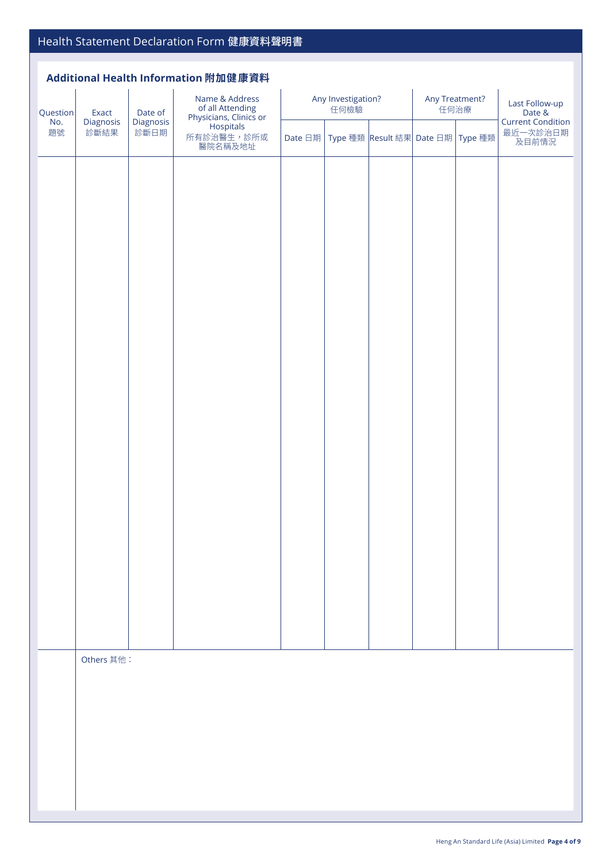#### **Additional Health Information 附加健康資料**

| Question                                            | Exact      | Date of               | Name & Address<br>For all Attending<br>Physicians, Clinics or<br>Hospitals | Any Investigation?<br>任何檢驗 |                                   |  | Any Treatment?<br>任何治療 |                   | Last Follow-up<br>Date &<br>Current Condition |
|-----------------------------------------------------|------------|-----------------------|----------------------------------------------------------------------------|----------------------------|-----------------------------------|--|------------------------|-------------------|-----------------------------------------------|
| No.<br>Diagnosis<br>Diagnosis<br>題號<br>診斷結果<br>診斷日期 |            | 所有診治醫生,診所或<br>醫院名稱及地址 | Date 日期                                                                    |                            | Type 種類 Result 結果 Date 日期 Type 種類 |  |                        | 最近一次診治日期<br>及目前情況 |                                               |
|                                                     |            |                       |                                                                            |                            |                                   |  |                        |                   |                                               |
|                                                     |            |                       |                                                                            |                            |                                   |  |                        |                   |                                               |
|                                                     |            |                       |                                                                            |                            |                                   |  |                        |                   |                                               |
|                                                     |            |                       |                                                                            |                            |                                   |  |                        |                   |                                               |
|                                                     |            |                       |                                                                            |                            |                                   |  |                        |                   |                                               |
|                                                     |            |                       |                                                                            |                            |                                   |  |                        |                   |                                               |
|                                                     |            |                       |                                                                            |                            |                                   |  |                        |                   |                                               |
|                                                     |            |                       |                                                                            |                            |                                   |  |                        |                   |                                               |
|                                                     |            |                       |                                                                            |                            |                                   |  |                        |                   |                                               |
|                                                     |            |                       |                                                                            |                            |                                   |  |                        |                   |                                               |
|                                                     |            |                       |                                                                            |                            |                                   |  |                        |                   |                                               |
|                                                     |            |                       |                                                                            |                            |                                   |  |                        |                   |                                               |
|                                                     |            |                       |                                                                            |                            |                                   |  |                        |                   |                                               |
|                                                     |            |                       |                                                                            |                            |                                   |  |                        |                   |                                               |
|                                                     | Others 其他: |                       |                                                                            |                            |                                   |  |                        |                   |                                               |
|                                                     |            |                       |                                                                            |                            |                                   |  |                        |                   |                                               |
|                                                     |            |                       |                                                                            |                            |                                   |  |                        |                   |                                               |
|                                                     |            |                       |                                                                            |                            |                                   |  |                        |                   |                                               |
|                                                     |            |                       |                                                                            |                            |                                   |  |                        |                   |                                               |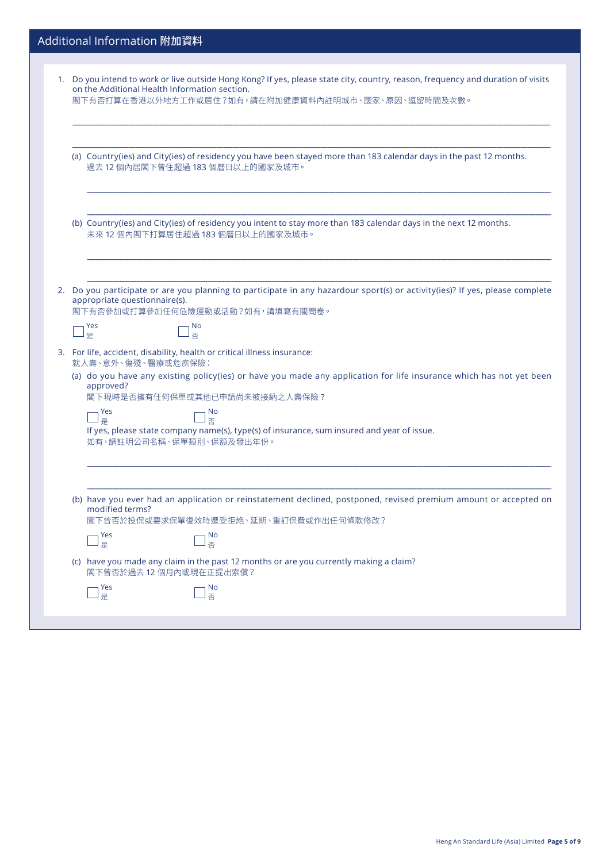| 1. Do you intend to work or live outside Hong Kong? If yes, please state city, country, reason, frequency and duration of visits<br>on the Additional Health Information section.<br>閣下有否打算在香港以外地方工作或居住?如有,請在附加健康資料內註明城市、國家、原因、逗留時間及次數。                                                 |
|-----------------------------------------------------------------------------------------------------------------------------------------------------------------------------------------------------------------------------------------------------------------------------------------|
| (a) Country(ies) and City(ies) of residency you have been stayed more than 183 calendar days in the past 12 months.<br>過去12個內居閣下曾住超過183個曆日以上的國家及城市。                                                                                                                                     |
| (b) Country(ies) and City(ies) of residency you intent to stay more than 183 calendar days in the next 12 months.<br>未來12個內閣下打算居住超過183個曆日以上的國家及城市。                                                                                                                                      |
| 2. Do you participate or are you planning to participate in any hazardour sport(s) or activity(ies)? If yes, please complete<br>appropriate questionnaire(s).<br>閣下有否參加或打算參加任何危險運動或活動?如有,請填寫有關問卷。<br>Yes<br><b>No</b><br>否<br>是                                                         |
| 3. For life, accident, disability, health or critical illness insurance:<br>就人壽、意外、傷殘、醫療或危疾保險:<br>(a) do you have any existing policy(ies) or have you made any application for life insurance which has not yet been<br>approved?<br>閣下現時是否擁有任何保單或其他已申請尚未被接納之人壽保險?<br>Yes<br><b>No</b> |
| 否<br>是<br>If yes, please state company name(s), type(s) of insurance, sum insured and year of issue.<br>如有,請註明公司名稱、保單類別、保額及發出年份。                                                                                                                                                        |
| (b) have you ever had an application or reinstatement declined, postponed, revised premium amount or accepted on<br>modified terms?<br>閣下曾否於投保或要求保單復效時遭受拒絶、延期、重訂保費或作出任何條款修改?<br>Yes<br>No<br>香<br>」。                                                                                    |
| (c) have you made any claim in the past 12 months or are you currently making a claim?<br>閣下曾否於過去12個月內或現在正提出索償?<br>Yes<br>No                                                                                                                                                            |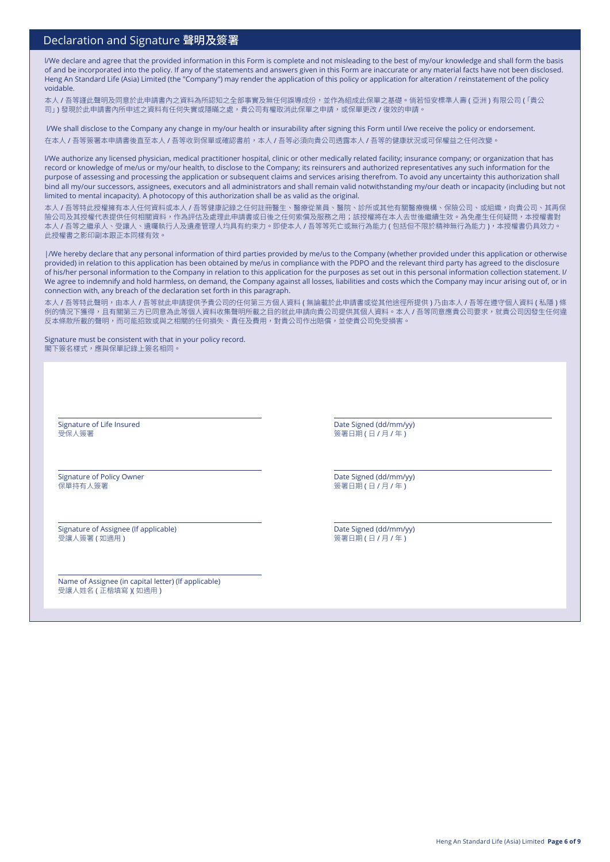#### Declaration and Signature 聲明及簽署

l/We declare and agree that the provided information in this Form is complete and not misleading to the best of my/our knowledge and shall form the basis of and be incorporated into the policy. If any of the statements and answers given in this Form are inaccurate or any material facts have not been disclosed. Heng An Standard Life (Asia) Limited (the "Company") may render the application of this policy or application for alteration / reinstatement of the policy voidable.

本人 / 吾等謹此聲明及同意於此申請書內之資料為所認知之全部事實及無任何誤導成份,並作為組成此保單之基礎。倘若恒安標準人壽 ( 亞洲 ) 有限公司 (「貴公 司」) 發現於此申請書內所申述之資料有任何失實或隱瞞之處, 貴公司有權取消此保單之申請,或保單更改 / 復效的申請。

l/We shall disclose to the Company any change in my/our health or insurability after signing this Form until l/we receive the policy or endorsement. 在本人 / 吾等簽署本申請書後直至本人 / 吾等收到保單或確認書前,本人 / 吾等必須向貴公司透露本人 / 吾等的健康狀況或可保權益之任何改變。

l/We authorize any licensed physician, medical practitioner hospital, clinic or other medically related facility; insurance company; or organization that has record or knowledge of me/us or my/our health, to disclose to the Company; its reinsurers and authorized representatives any such information for the purpose of assessing and processing the application or subsequent claims and services arising therefrom. To avoid any uncertainty this authorization shall bind all my/our successors, assignees, executors and all administrators and shall remain valid notwithstanding my/our death or incapacity (including but not limited to mental incapacity). A photocopy of this authorization shall be as valid as the original.

本人 / 吾等特此授權擁有本人任何資料或本人 / 吾等健康記錄之任何註冊醫生、醫療從業員、醫院、診所或其他有關醫療機構、保險公司、或組織,向貴公司、其再保 險公司及其授權代表提供任何相關資料,作為評估及處理此申請書或日後之任何索償及服務之用;該授權將在本人去世後繼續生效。為免產生任何疑問,本授權書對 本人 / 吾等之繼承人、受讓人、遺囑執行人及遺產管理人均具有約束力。即使本人 / 吾等等死亡或無行為能力 ( 包括但不限於精神無行為能力 ),本授權書仍具效力。 此授權書之影印副本跟正本同樣有效。

|/We hereby declare that any personal information of third parties provided by me/us to the Company (whether provided under this application or otherwise provided) in relation to this application has been obtained by me/us in compliance with the PDPO and the relevant third party has agreed to the disclosure of his/her personal information to the Company in relation to this application for the purposes as set out in this personal information collection statement. I/ We agree to indemnify and hold harmless, on demand, the Company against all losses, liabilities and costs which the Company may incur arising out of, or in connection with, any breach of the declaration set forth in this paragraph.

本人 / 吾等特此聲明,由本人 / 吾等就此申請提供予貴公司的任何第三方個人資料 ( 無論載於此申請書或從其他途徑所提供 ) 乃由本人 / 吾等在遵守個人資料 ( 私隱 ) 條 例的情況下獲得,且有關第三方已同意為此等個人資料收集聲明所載之目的就此申請向貴公司提供其個人資料。本人 / 吾等同意應貴公司要求,就貴公司因發生任何違 反本條款所載的聲明,而可能招致或與之相關的任何損失、責任及費用,對貴公司作出賠償,並使貴公司免受損害。

Signature must be consistent with that in your policy record. 閣下簽名樣式,應與保單記錄上簽名相同。

Signature of Life Insured 受保人簽署

Date Signed (dd/mm/yy) **簽署日期 ( 日 / 月 / 年 )** 

Signature of Policy Owner 保單持有人簽署

Date Signed (dd/mm/yy) 簽署日期 ( 日 / 月 / 年 )

Signature of Assignee (If applicable) 受讓人簽署 ( 如適用 )

Name of Assignee (in capital letter) (lf applicable) 受讓人姓名 ( 正楷填寫 )( 如適用 )

Date Signed (dd/mm/yy) 簽署日期 (日 / 月 / 年)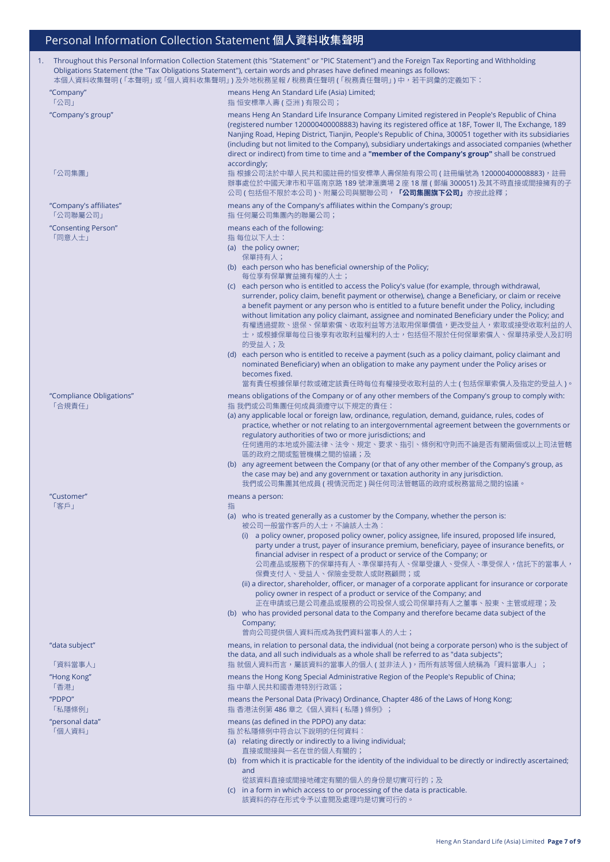| 1. | Throughout this Personal Information Collection Statement (this "Statement" or "PIC Statement") and the Foreign Tax Reporting and Withholding<br>Obligations Statement (the "Tax Obligations Statement"), certain words and phrases have defined meanings as follows:<br>本個人資料收集聲明 ( 「本聲明」 或 「個人資料收集聲明」 ) 及外地稅務呈報 / 稅務責任聲明 ( 「稅務責任聲明」 ) 中,若干詞彙的定義如下: |                                                                                                                                                                                                                                                                                                                                                                                                                                                                                                                                                                                                                                                                                                                                                                                                                                                                                                |  |
|----|------------------------------------------------------------------------------------------------------------------------------------------------------------------------------------------------------------------------------------------------------------------------------------------------------------------------------------------------------|------------------------------------------------------------------------------------------------------------------------------------------------------------------------------------------------------------------------------------------------------------------------------------------------------------------------------------------------------------------------------------------------------------------------------------------------------------------------------------------------------------------------------------------------------------------------------------------------------------------------------------------------------------------------------------------------------------------------------------------------------------------------------------------------------------------------------------------------------------------------------------------------|--|
|    | "Company"<br>「公司」                                                                                                                                                                                                                                                                                                                                    | means Heng An Standard Life (Asia) Limited;<br>指 恒安標準人壽 ( 亞洲 ) 有限公司;                                                                                                                                                                                                                                                                                                                                                                                                                                                                                                                                                                                                                                                                                                                                                                                                                           |  |
|    | "Company's group"                                                                                                                                                                                                                                                                                                                                    | means Heng An Standard Life Insurance Company Limited registered in People's Republic of China<br>(registered number 120000400008883) having its registered office at 18F, Tower II, The Exchange, 189<br>Nanjing Road, Heping District, Tianjin, People's Republic of China, 300051 together with its subsidiaries<br>(including but not limited to the Company), subsidiary undertakings and associated companies (whether<br>direct or indirect) from time to time and a "member of the Company's group" shall be construed<br>accordingly;                                                                                                                                                                                                                                                                                                                                                 |  |
|    | 「公司集團」                                                                                                                                                                                                                                                                                                                                               | 指 根據公司法於中華人民共和國註冊的恒安標準人壽保險有限公司 (註冊編號為 120000400008883), 註冊<br>辦事處位於中國天津市和平區南京路 189 號津滙廣場 2 座 18 層 ( 郵編 300051) 及其不時直接或間接擁有的子<br>公司 ( 包括但不限於本公司 )、附屬公司與關聯公司, <b>「公司集團旗下公司」</b> 亦按此詮釋;                                                                                                                                                                                                                                                                                                                                                                                                                                                                                                                                                                                                                                                                                                           |  |
|    | "Company's affiliates"<br>「公司聯屬公司」                                                                                                                                                                                                                                                                                                                   | means any of the Company's affiliates within the Company's group;<br>指 任何屬公司集團內的聯屬公司;                                                                                                                                                                                                                                                                                                                                                                                                                                                                                                                                                                                                                                                                                                                                                                                                          |  |
|    | "Consenting Person"<br>「同意人士」                                                                                                                                                                                                                                                                                                                        | means each of the following:<br>指 每位以下人士:<br>(a) the policy owner;<br>保單持有人;<br>(b) each person who has beneficial ownership of the Policy;<br>每位享有保單實益擁有權的人士;<br>(c) each person who is entitled to access the Policy's value (for example, through withdrawal,<br>surrender, policy claim, benefit payment or otherwise), change a Beneficiary, or claim or receive<br>a benefit payment or any person who is entitled to a future benefit under the Policy, including<br>without limitation any policy claimant, assignee and nominated Beneficiary under the Policy; and<br>有權透過提款、退保、保單索償、收取利益等方法取用保單價值,更改受益人,索取或接受收取利益的人<br>士,或根據保單每位日後享有收取利益權利的人士,包括但不限於任何保單索償人、保單持承受人及訂明<br>的受益人;及<br>(d) each person who is entitled to receive a payment (such as a policy claimant, policy claimant and<br>nominated Beneficiary) when an obligation to make any payment under the Policy arises or |  |
|    | "Compliance Obligations"                                                                                                                                                                                                                                                                                                                             | becomes fixed.<br>當有責任根據保單付款或確定該責任時每位有權接受收取利益的人士 ( 包括保單索償人及指定的受益人 )。<br>means obligations of the Company or of any other members of the Company's group to comply with:                                                                                                                                                                                                                                                                                                                                                                                                                                                                                                                                                                                                                                                                                                                        |  |
|    | 「合規責任」                                                                                                                                                                                                                                                                                                                                               | 指 我們或公司集團任何成員須遵守以下規定的責任:<br>(a) any applicable local or foreign law, ordinance, regulation, demand, guidance, rules, codes of<br>practice, whether or not relating to an intergovernmental agreement between the governments or<br>regulatory authorities of two or more jurisdictions; and<br>任何適用的本地或外國法律、法令、規定、要求、指引、條例和守則而不論是否有關兩個或以上司法管轄<br>區的政府之間或監管機構之間的協議;及<br>(b) any agreement between the Company (or that of any other member of the Company's group, as<br>the case may be) and any government or taxation authority in any jurisdiction.<br>我們或公司集團其他成員 ( 視情況而定 ) 與任何司法管轄區的政府或稅務當局之間的協議。                                                                                                                                                                                                                                                                                         |  |
|    | "Customer"<br>「客戶」                                                                                                                                                                                                                                                                                                                                   | means a person:                                                                                                                                                                                                                                                                                                                                                                                                                                                                                                                                                                                                                                                                                                                                                                                                                                                                                |  |
|    |                                                                                                                                                                                                                                                                                                                                                      | 指<br>(a) who is treated generally as a customer by the Company, whether the person is:<br>被公司一般當作客戶的人士,不論該人士為︰<br>(i) a policy owner, proposed policy owner, policy assignee, life insured, proposed life insured,<br>party under a trust, payer of insurance premium, beneficiary, payee of insurance benefits, or<br>financial adviser in respect of a product or service of the Company; or<br>公司產品或服務下的保單持有人、準保單持有人、保單受讓人、受保人、準受保人,信託下的當事人,<br>保費支付人、受益人、保險金受款人或財務顧問;或<br>(ii) a director, shareholder, officer, or manager of a corporate applicant for insurance or corporate<br>policy owner in respect of a product or service of the Company; and<br>正在申請或已是公司產品或服務的公司投保人或公司保單持有人之董事、股東、主管或經理;及                                                                                                                                                                                       |  |
|    |                                                                                                                                                                                                                                                                                                                                                      | (b) who has provided personal data to the Company and therefore became data subject of the<br>Company;<br>曾向公司提供個人資料而成為我們資料當事人的人士;                                                                                                                                                                                                                                                                                                                                                                                                                                                                                                                                                                                                                                                                                                                                                             |  |
|    | "data subject"<br>「資料當事人」<br>"Hong Kong"<br>「香港」                                                                                                                                                                                                                                                                                                     | means, in relation to personal data, the individual (not being a corporate person) who is the subject of<br>the data, and all such individuals as a whole shall be referred to as "data subjects";<br>指 就個人資料而言,屬該資料的當事人的個人 ( 並非法人 ),而所有該等個人統稱為「資料當事人」;<br>means the Hong Kong Special Administrative Region of the People's Republic of China;<br>指 中華人民共和國香港特別行政區;                                                                                                                                                                                                                                                                                                                                                                                                                                                                                                                           |  |
|    | "PDPO"                                                                                                                                                                                                                                                                                                                                               | means the Personal Data (Privacy) Ordinance, Chapter 486 of the Laws of Hong Kong;                                                                                                                                                                                                                                                                                                                                                                                                                                                                                                                                                                                                                                                                                                                                                                                                             |  |
|    | 「私隱條例」<br>"personal data"<br>「個人資料」                                                                                                                                                                                                                                                                                                                  | 指 香港法例第 486 章之《個人資料 ( 私隱 ) 條例》;<br>means (as defined in the PDPO) any data:<br>指 於私隱條例中符合以下說明的任何資料:<br>(a) relating directly or indirectly to a living individual;<br>直接或間接與一名在世的個人有關的;<br>(b) from which it is practicable for the identity of the individual to be directly or indirectly ascertained;<br>and<br>從該資料直接或間接地確定有關的個人的身份是切實可行的;及<br>(c) in a form in which access to or processing of the data is practicable.<br>該資料的存在形式令予以查閱及處理均是切實可行的。                                                                                                                                                                                                                                                                                                                                                                                                                                      |  |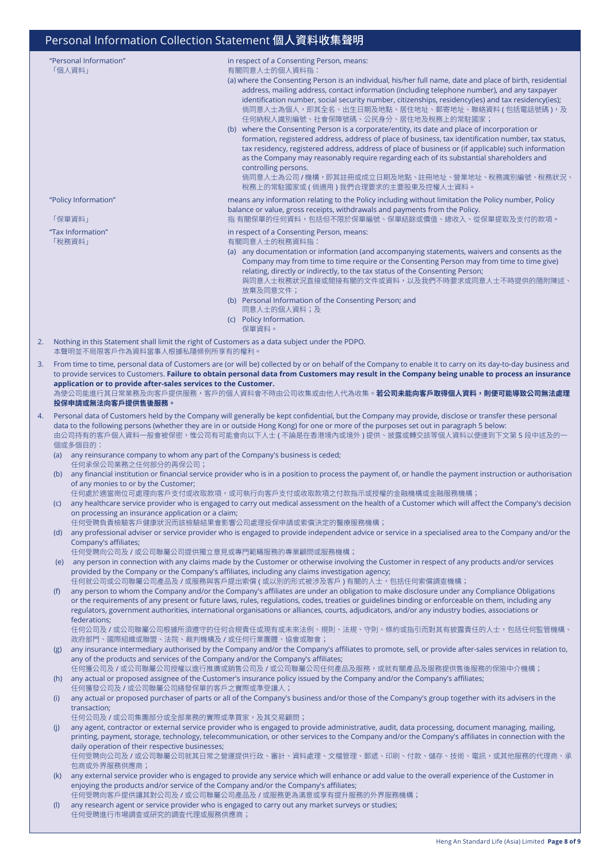|    |                                                                                                                                                                                                                                                                                                                                                                                                                                                                                                                                              | "Personal Information"<br>「個人資料」                                                                                                                                                                                                                                                                                                                                                                                                                                                | in respect of a Consenting Person, means:<br>有關同意人士的個人資料指:<br>(a) where the Consenting Person is an individual, his/her full name, date and place of birth, residential<br>address, mailing address, contact information (including telephone number), and any taxpayer<br>identification number, social security number, citizenships, residency(ies) and tax residency(ies);<br>倘同意人士為個人,即其全名、出生日期及地點、居住地址、郵寄地址、聯絡資料 (包括電話號碼 ),及<br>任何納稅人識別編號、社會保障號碼、公民身分、居住地及稅務上的常駐國家;<br>(b) where the Consenting Person is a corporate/entity, its date and place of incorporation or<br>formation, registered address, address of place of business, tax identification number, tax status,<br>tax residency, registered address, address of place of business or (if applicable) such information<br>as the Company may reasonably require regarding each of its substantial shareholders and<br>controlling persons.<br>倘同意人士為公司 / 機構,即其註冊或成立日期及地點、註冊地址、營業地址、稅務識別編號、稅務狀況、<br>稅務上的常駐國家或 ( 倘適用 ) 我們合理要求的主要股東及控權人士資料。 |  |  |  |  |
|----|----------------------------------------------------------------------------------------------------------------------------------------------------------------------------------------------------------------------------------------------------------------------------------------------------------------------------------------------------------------------------------------------------------------------------------------------------------------------------------------------------------------------------------------------|---------------------------------------------------------------------------------------------------------------------------------------------------------------------------------------------------------------------------------------------------------------------------------------------------------------------------------------------------------------------------------------------------------------------------------------------------------------------------------|------------------------------------------------------------------------------------------------------------------------------------------------------------------------------------------------------------------------------------------------------------------------------------------------------------------------------------------------------------------------------------------------------------------------------------------------------------------------------------------------------------------------------------------------------------------------------------------------------------------------------------------------------------------------------------------------------------------------------------------------------------------------------------------------------------------------------------------------------------------------------------------------------------------------------------------------------------------------------------------------------------|--|--|--|--|
|    |                                                                                                                                                                                                                                                                                                                                                                                                                                                                                                                                              | "Policy Information"                                                                                                                                                                                                                                                                                                                                                                                                                                                            | means any information relating to the Policy including without limitation the Policy number, Policy<br>balance or value, gross receipts, withdrawals and payments from the Policy.                                                                                                                                                                                                                                                                                                                                                                                                                                                                                                                                                                                                                                                                                                                                                                                                                         |  |  |  |  |
|    |                                                                                                                                                                                                                                                                                                                                                                                                                                                                                                                                              | 「保單資料」<br>"Tax Information"                                                                                                                                                                                                                                                                                                                                                                                                                                                     | 指 有關保單的任何資料,包括但不限於保單編號、保單結餘或價值、總收入、從保單提取及支付的款項。<br>in respect of a Consenting Person, means:                                                                                                                                                                                                                                                                                                                                                                                                                                                                                                                                                                                                                                                                                                                                                                                                                                                                                                               |  |  |  |  |
|    |                                                                                                                                                                                                                                                                                                                                                                                                                                                                                                                                              | 「稅務資料」                                                                                                                                                                                                                                                                                                                                                                                                                                                                          | 有關同意人士的稅務資料指:<br>(a) any documentation or information (and accompanying statements, waivers and consents as the<br>Company may from time to time require or the Consenting Person may from time to time give)<br>relating, directly or indirectly, to the tax status of the Consenting Person;<br>與同意人士稅務狀況直接或間接有關的文件或資料,以及我們不時要求或同意人士不時提供的隨附陳述、<br>放棄及同意文件;<br>(b) Personal Information of the Consenting Person; and<br>同意人士的個人資料;及<br>(c) Policy Information.<br>保單資料。                                                                                                                                                                                                                                                                                                                                                                                                                                                                                                                                  |  |  |  |  |
| 2. |                                                                                                                                                                                                                                                                                                                                                                                                                                                                                                                                              | Nothing in this Statement shall limit the right of Customers as a data subject under the PDPO.<br>本聲明並不局限客戶作為資料當事人根據私隱條例所享有的權利。                                                                                                                                                                                                                                                                                                                                                 |                                                                                                                                                                                                                                                                                                                                                                                                                                                                                                                                                                                                                                                                                                                                                                                                                                                                                                                                                                                                            |  |  |  |  |
| 3. | From time to time, personal data of Customers are (or will be) collected by or on behalf of the Company to enable it to carry on its day-to-day business and<br>to provide services to Customers. Failure to obtain personal data from Customers may result in the Company being unable to process an insurance<br>application or to provide after-sales services to the Customer.<br>為使公司能進行其日常業務及向客戶提供服務,客戶的個人資料會不時由公司收集或由他人代為收集。 <b>若公司未能向客戶取得個人資料,則便可能導致公司無法處理</b><br>投保申請或無法向客戶提供售後服務。                                                  |                                                                                                                                                                                                                                                                                                                                                                                                                                                                                 |                                                                                                                                                                                                                                                                                                                                                                                                                                                                                                                                                                                                                                                                                                                                                                                                                                                                                                                                                                                                            |  |  |  |  |
| 4. |                                                                                                                                                                                                                                                                                                                                                                                                                                                                                                                                              | Personal data of Customers held by the Company will generally be kept confidential, but the Company may provide, disclose or transfer these personal<br>data to the following persons (whether they are in or outside Hong Kong) for one or more of the purposes set out in paragraph 5 below:<br>由公司持有的客户個人資料一般會被保密,惟公司有可能會向以下人士 ( 不論是在香港境内或境外 ) 提供、披露或轉交該等個人資料以便達到下文第 5 段中述及的一<br>個或多個目的:<br>(a) any reinsurance company to whom any part of the Company's business is ceded; |                                                                                                                                                                                                                                                                                                                                                                                                                                                                                                                                                                                                                                                                                                                                                                                                                                                                                                                                                                                                            |  |  |  |  |
|    | (b)                                                                                                                                                                                                                                                                                                                                                                                                                                                                                                                                          | 任何承保公司業務之任何部分的再保公司;<br>of any monies to or by the Customer;                                                                                                                                                                                                                                                                                                                                                                                                                     | any financial institution or financial service provider who is in a position to process the payment of, or handle the payment instruction or authorisation<br>任何處於適當崗位可處理向客戶支付或收取款項,或可執行向客戶支付或收取款項之付款指示或授權的金融機構或金融服務機構;<br>any healthcare service provider who is engaged to carry out medical assessment on the health of a Customer which will affect the Company's decision                                                                                                                                                                                                                                                                                                                                                                                                                                                                                                                                                                                                                             |  |  |  |  |
|    | (C)                                                                                                                                                                                                                                                                                                                                                                                                                                                                                                                                          | on processing an insurance application or a claim;                                                                                                                                                                                                                                                                                                                                                                                                                              | 任何受聘負責檢驗客戶健康狀況而該檢驗結果會影響公司處理投保申請或索償決定的醫療服務機構;                                                                                                                                                                                                                                                                                                                                                                                                                                                                                                                                                                                                                                                                                                                                                                                                                                                                                                                                                               |  |  |  |  |
|    |                                                                                                                                                                                                                                                                                                                                                                                                                                                                                                                                              | Company's affiliates;<br>任何受聘向公司及 / 或公司聯屬公司提供獨立意見或專門範疇服務的專業顧問或服務機構;                                                                                                                                                                                                                                                                                                                                                                                                             | (d) any professional adviser or service provider who is engaged to provide independent advice or service in a specialised area to the Company and/or the                                                                                                                                                                                                                                                                                                                                                                                                                                                                                                                                                                                                                                                                                                                                                                                                                                                   |  |  |  |  |
|    |                                                                                                                                                                                                                                                                                                                                                                                                                                                                                                                                              |                                                                                                                                                                                                                                                                                                                                                                                                                                                                                 | (e) any person in connection with any claims made by the Customer or otherwise involving the Customer in respect of any products and/or services<br>provided by the Company or the Company's affiliates, including any claims investigation agency;                                                                                                                                                                                                                                                                                                                                                                                                                                                                                                                                                                                                                                                                                                                                                        |  |  |  |  |
|    | 任何就公司或公司聯屬公司產品及 / 或服務與客戶提出索償 ( 或以別的形式被涉及客戶 ) 有關的人士,包括任何索償調查機構;<br>any person to whom the Company and/or the Company's affiliates are under an obligation to make disclosure under any Compliance Obligations<br>(f)<br>or the requirements of any present or future laws, rules, regulations, codes, treaties or guidelines binding or enforceable on them, including any<br>regulators, government authorities, international organisations or alliances, courts, adjudicators, and/or any industry bodies, associations or<br>federations; |                                                                                                                                                                                                                                                                                                                                                                                                                                                                                 |                                                                                                                                                                                                                                                                                                                                                                                                                                                                                                                                                                                                                                                                                                                                                                                                                                                                                                                                                                                                            |  |  |  |  |
|    | (g)                                                                                                                                                                                                                                                                                                                                                                                                                                                                                                                                          | 政府部門、國際組織或聯盟、法院、裁判機構及 / 或任何行業團體、協會或聯會;                                                                                                                                                                                                                                                                                                                                                                                                                                          | 任何公司及 / 或公司聯屬公司根據所須遵守的任何合規責任或現有或未來法例、規則、法規、守則、條約或指引而對其有披露責任的人士,包括任何監管機構、<br>any insurance intermediary authorised by the Company and/or the Company's affiliates to promote, sell, or provide after-sales services in relation to,                                                                                                                                                                                                                                                                                                                                                                                                                                                                                                                                                                                                                                                                                                                                                                         |  |  |  |  |
|    | any of the products and services of the Company and/or the Company's affiliates;<br>任何獲公司及 / 或公司聯屬公司授權以進行推廣或銷售公司及 / 或公司聯屬公司任何產品及服務, 或就有關產品及服務提供售後服務的保險中介機構;<br>any actual or proposed assignee of the Customer's insurance policy issued by the Company and/or the Company's affiliates;<br>(h)                                                                                                                                                                                                                                              |                                                                                                                                                                                                                                                                                                                                                                                                                                                                                 |                                                                                                                                                                                                                                                                                                                                                                                                                                                                                                                                                                                                                                                                                                                                                                                                                                                                                                                                                                                                            |  |  |  |  |
|    | 任何獲發公司及 / 或公司聯屬公司繕發保單的客戶之實際或準受讓人;<br>any actual or proposed purchaser of parts or all of the Company's business and/or those of the Company's group together with its advisers in the<br>(i)                                                                                                                                                                                                                                                                                                                                                 |                                                                                                                                                                                                                                                                                                                                                                                                                                                                                 |                                                                                                                                                                                                                                                                                                                                                                                                                                                                                                                                                                                                                                                                                                                                                                                                                                                                                                                                                                                                            |  |  |  |  |
|    |                                                                                                                                                                                                                                                                                                                                                                                                                                                                                                                                              | transaction;<br>任何公司及 / 或公司集團部分或全部業務的實際或準買家,及其交易顧問;                                                                                                                                                                                                                                                                                                                                                                                                                             | any agent, contractor or external service provider who is engaged to provide administrative, audit, data processing, document managing, mailing,                                                                                                                                                                                                                                                                                                                                                                                                                                                                                                                                                                                                                                                                                                                                                                                                                                                           |  |  |  |  |
|    | (i)                                                                                                                                                                                                                                                                                                                                                                                                                                                                                                                                          | daily operation of their respective businesses;                                                                                                                                                                                                                                                                                                                                                                                                                                 | printing, payment, storage, technology, telecommunication, or other services to the Company and/or the Company's affiliates in connection with the<br>任何受聘向公司及 / 或公司聯屬公司就其日常之營運提供行政、審計、資料處理、文檔管理、郵遞、印刷、付款、儲存、技術、電訊,或其他服務的代理商、承                                                                                                                                                                                                                                                                                                                                                                                                                                                                                                                                                                                                                                                                                                                                                                             |  |  |  |  |
|    | (k)                                                                                                                                                                                                                                                                                                                                                                                                                                                                                                                                          | 包商或外界服務供應商;<br>enjoying the products and/or service of the Company and/or the Company's affiliates;                                                                                                                                                                                                                                                                                                                                                                             | any external service provider who is engaged to provide any service which will enhance or add value to the overall experience of the Customer in                                                                                                                                                                                                                                                                                                                                                                                                                                                                                                                                                                                                                                                                                                                                                                                                                                                           |  |  |  |  |
|    | 任何受聘向客戶提供讓其對公司及 / 或公司聯屬公司產品及 / 或服務更為滿意或享有提升服務的外界服務機構;<br>any research agent or service provider who is engaged to carry out any market surveys or studies;<br>(1)<br>任何受聘進行市場調查或研究的調查代理或服務供應商;                                                                                                                                                                                                                                                                                                                                               |                                                                                                                                                                                                                                                                                                                                                                                                                                                                                 |                                                                                                                                                                                                                                                                                                                                                                                                                                                                                                                                                                                                                                                                                                                                                                                                                                                                                                                                                                                                            |  |  |  |  |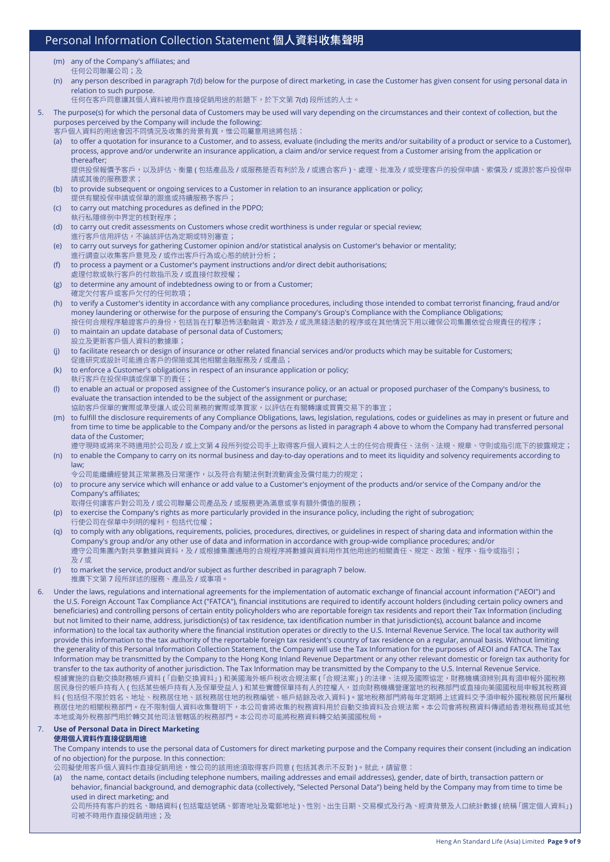- (m) any of the Company's affiliates; and 任何公司聯屬公司;及
- (n) any person described in paragraph 7(d) below for the purpose of direct marketing, in case the Customer has given consent for using personal data in relation to such purpose.

任何在客戶同意讓其個人資料被用作直接促銷用途的前題下,於下文第 7(d) 段所述的人士。

5. The purpose(s) for which the personal data of Customers may be used will vary depending on the circumstances and their context of collection, but the purposes perceived by the Company will include the following:

客戶個人資料的用途會因不同情況及收集的背景有異,惟公司屬意用途將包括:

(a) to offer a quotation for insurance to a Customer, and to assess, evaluate (including the merits and/or suitability of a product or service to a Customer), process, approve and/or underwrite an insurance application, a claim and/or service request from a Customer arising from the application or thereafter;

提供投保報價予客戶,以及評估、衡量 ( 包括產品及 / 或服務是否有利於及 / 或適合客戶 )、處理、批准及 / 或受理客戶的投保申請、索償及 / 或源於客戶投保申 請或其後的服務要求;

- (b) to provide subsequent or ongoing services to a Customer in relation to an insurance application or policy; 提供有關投保申請或保單的跟進或持續服務予客戶;
- (c) to carry out matching procedures as defined in the PDPO; 執行私隱條例中界定的核對程序;
- (d) to carry out credit assessments on Customers whose credit worthiness is under regular or special review; 進行客戶信用評估,不論該評估為定期或特別審查;
- (e) to carry out surveys for gathering Customer opinion and/or statistical analysis on Customer's behavior or mentality; 進行調查以收集客戶意見及 / 或作出客戶行為或心態的統計分析;
- (f) to process a payment or a Customer's payment instructions and/or direct debit authorisations; 處理付款或執行客戶的付款指示及 / 或直接付款授權;
- (g) to determine any amount of indebtedness owing to or from a Customer; 確定欠付客戶或客戶欠付的任何款項;
- (h) to verify a Customer's identity in accordance with any compliance procedures, including those intended to combat terrorist financing, fraud and/or money laundering or otherwise for the purpose of ensuring the Company's Group's Compliance with the Compliance Obligations; 按任何合規程序驗證客戶的身份,包括旨在打擊恐怖活動融資、欺詐及 / 或洗黑錢活動的程序或在其他情況下用以確保公司集團依從合規責任的程序;
- (i) to maintain an update database of personal data of Customers; 設立及更新客戶個人資料的數據庫;
- (j) to facilitate research or design of insurance or other related financial services and/or products which may be suitable for Customers; 促進研究或設計可能適合客戶的保險或其他相關金融服務及 / 或產品;
- (k) to enforce a Customer's obligations in respect of an insurance application or policy; 執行客戶在投保申請或保單下的責任;
- (l) to enable an actual or proposed assignee of the Customer's insurance policy, or an actual or proposed purchaser of the Company's business, to evaluate the transaction intended to be the subject of the assignment or purchase;
- 協助客戶保單的實際或準受讓人或公司業務的實際或準買家,以評估在有關轉讓或買賣交易下的事宜; (m) to fulfill the disclosure requirements of any Compliance Obligations, laws, legislation, regulations, codes or guidelines as may in present or future and from time to time be applicable to the Company and/or the persons as listed in paragraph 4 above to whom the Company had transferred personal data of the Customer; 遵守現時或將來不時適用於公司及 / 或上文第 4 段所列從公司手上取得客戶個人資料之人士的任何合規責任、法例、法規、規章、守則或指引底下的披露規定;

(n) to enable the Company to carry on its normal business and day-to-day operations and to meet its liquidity and solvency requirements according to law;

- 令公司能繼續經營其正常業務及日常運作,以及符合有關法例對流動資金及償付能力的規定; (o) to procure any service which will enhance or add value to a Customer's enjoyment of the products and/or service of the Company and/or the Company's affiliates;
- 取得任何讓客戶對公司及 / 或公司聯屬公司產品及 / 或服務更為滿意或享有額外價值的服務;
- (p) to exercise the Company's rights as more particularly provided in the insurance policy, including the right of subrogation; 行使公司在保單中列明的權利,包括代位權;
- (q) to comply with any obligations, requirements, policies, procedures, directives, or guidelines in respect of sharing data and information within the Company's group and/or any other use of data and information in accordance with group-wide compliance procedures; and/or 遵守公司集團內對共享數據與資料,及 / 或根據集團通用的合規程序將數據與資料用作其他用途的相關責任、規定、政策、程序、指令或指引; 及 / 或
- (r) to market the service, product and/or subject as further described in paragraph 7 below. 推廣下文第 7 段所詳述的服務、產品及 / 或事項。
- Under the laws, regulations and international agreements for the implementation of automatic exchange of financial account information ("AEOI") and the U.S. Foreign Account Tax Compliance Act ("FATCA"), financial institutions are required to identify account holders (including certain policy owners and beneficiaries) and controlling persons of certain entity policyholders who are reportable foreign tax residents and report their Tax Information (including but not limited to their name, address, jurisdiction(s) of tax residence, tax identification number in that jurisdiction(s), account balance and income information) to the local tax authority where the financial institution operates or directly to the U.S. Internal Revenue Service. The local tax authority will provide this information to the tax authority of the reportable foreign tax resident's country of tax residence on a regular, annual basis. Without limiting the generality of this Personal Information Collection Statement, the Company will use the Tax Information for the purposes of AEOI and FATCA. The Tax Information may be transmitted by the Company to the Hong Kong Inland Revenue Department or any other relevant domestic or foreign tax authority for transfer to the tax authority of another jurisdiction. The Tax Information may be transmitted by the Company to the U.S. Internal Revenue Service. 根據實施的自動交換財務帳戶資料 (「自動交換資料」) 和美國海外帳戶稅收合規法案 (「合規法案」) 的法律、法規及國際協定,財務機構須辨別具有須申報外國稅務 居民身份的帳戶持有人 ( 包括某些帳戶持有人及保單受益人 ) 和某些實體保單持有人的控權人,並向財務機構營運當地的稅務部門或直接向美國國稅局申報其稅務資 料 ( 包括但不限於姓名、地址、稅務居住地、該稅務居住地的稅務編號、帳戶結餘及收入資料 )。當地稅務部門將每年定期將上述資料交予須申報外國稅務居民所屬稅 務居住地的相關稅務部門。在不限制個人資料收集聲明下,本公司會將收集的稅務資料用於自動交換資料及合規法案。本公司會將稅務資料傳遞給香港稅務局或其他 本地或海外稅務部門用於轉交其他司法管轄區的稅務部門。本公司亦可能將稅務資料轉交給美國國稅局。

#### 7. **Use of Personal Data in Direct Marketing 使用個人資料作直接促銷用途**

The Company intends to use the personal data of Customers for direct marketing purpose and the Company requires their consent (including an indication of no objection) for the purpose. In this connection:

公司擬使用客戶個人資料作直接促銷用途,惟公司的該用途須取得客戶同意 ( 包括其表示不反對 )。就此,請留意:

(a) the name, contact details (including telephone numbers, mailing addresses and email addresses), gender, date of birth, transaction pattern or behavior, financial background, and demographic data (collectively, "Selected Personal Data") being held by the Company may from time to time be used in direct marketing; and 公司所持有客戶的姓名、聯絡資料 ( 包括電話號碼、郵寄地址及電郵地址 )、性別、出生日期、交易模式及行為、經濟背景及人口統計數據 ( 統稱「選定個人資料」) 可被不時用作直接促銷用途;及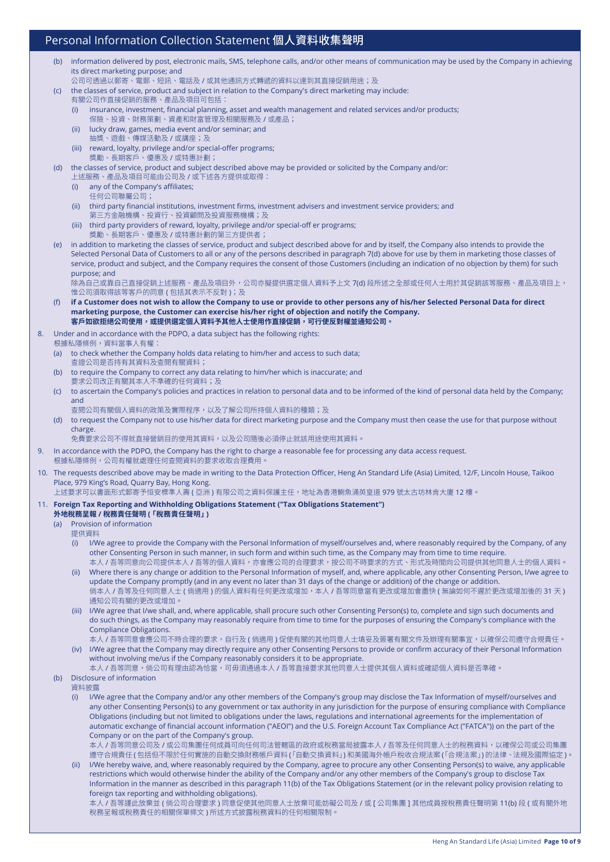- (b) information delivered by post, electronic mails, SMS, telephone calls, and/or other means of communication may be used by the Company in achieving its direct marketing purpose; and
	- 公司可透過以郵寄、電郵、短訊、電話及/或其他通訊方式轉遞的資料以達到其直接促銷用途;及
- (c) the classes of service, product and subject in relation to the Company's direct marketing may include:
	- 有關公司作直接促銷的服務、產品及項目可包括:
		- (i) insurance, investment, financial planning, asset and wealth management and related services and/or products; 保險、投資、財務策劃、資產和財富管理及相關服務及 / 或產品;
		- (ii) lucky draw, games, media event and/or seminar; and 抽獎、遊戲、傳媒活動及 / 或講座;及
		- (iii) reward, loyalty, privilege and/or special-offer programs; 獎勵、長期客戶、優惠及 / 或特惠計劃;

(d) the classes of service, product and subject described above may be provided or solicited by the Company and/or: 上述服務、產品及項目可能由公司及 / 或下述各方提供或取得:

- (i) any of the Company's affiliates;
- 任何公司聯屬公司;
- (ii) third party financial institutions, investment firms, investment advisers and investment service providers; and 第三方金融機構、投資行、投資顧問及投資服務機構;及
- (iii) third party providers of reward, loyalty, privilege and/or special-off er programs; 獎勵、長期客戶、優惠及 / 或特惠計劃的第三方提供者;
- (e) in addition to marketing the classes of service, product and subject described above for and by itself, the Company also intends to provide the Selected Personal Data of Customers to all or any of the persons described in paragraph 7(d) above for use by them in marketing those classes of service, product and subject, and the Company requires the consent of those Customers (including an indication of no objection by them) for such purpose; and

除為自己或靠自己直接促銷上述服務、產品及項目外,公司亦擬提供選定個人資料予上文 7(d) 段所述之全部或任何人士用於其促銷該等服務、產品及項目上, 惟公司須取得該等客戶的同意 ( 包括其表示不反對 ); 及

- (f) if a Customer does not wish to allow the Company to use or provide to other persons any of his/her Selected Personal Data for direct **marketing purpose, the Customer can exercise his/her right of objection and notify the Company. 客戶如欲拒絕公司使用,或提供選定個人資料予其他人士使用作直接促銷,可行使反對權並通知公司。**
- 8. Under and in accordance with the PDPO, a data subject has the following rights:
	- 根據私隱條例,資料當事人有權:
	- (a) to check whether the Company holds data relating to him/her and access to such data; 查證公司是否持有其資料及查閱有關資料;
	- (b) to require the Company to correct any data relating to him/her which is inaccurate; and 要求公司改正有關其本人不準確的任何資料;及
	- (c) to ascertain the Company's policies and practices in relation to personal data and to be informed of the kind of personal data held by the Company; and
		- 查閱公司有關個人資料的政策及實際程序,以及了解公司所持個人資料的種類;及
	- (d) to request the Company not to use his/her data for direct marketing purpose and the Company must then cease the use for that purpose without charge.

免費要求公司不得就直接營銷目的使用其資料,以及公司隨後必須停止就該用途使用其資料。

- 9. In accordance with the PDPO, the Company has the right to charge a reasonable fee for processing any data access request. 根據私隱條例,公司有權就處理任何查閱資料的要求收取合理費用。
- 10. The requests described above may be made in writing to the Data Protection Officer, Heng An Standard Life (Asia) Limited, 12/F, Lincoln House, Taikoo Place, 979 King's Road, Quarry Bay, Hong Kong.

上述要求可以書面形式郵寄予恒安標準人壽 ( 亞洲 ) 有限公司之資料保護主任,地址為香港鰂魚涌英皇道 979 號太古坊林肯大廈 12 樓。

#### 11. **Foreign Tax Reporting and Withholding Obligations Statement ("Tax Obligations Statement")**

- **外地稅務呈報 / 稅務責任聲明 (「稅務責任聲明」)**
- (a) Provision of information 提供資料
	- (i) I/We agree to provide the Company with the Personal Information of myself/ourselves and, where reasonably required by the Company, of any other Consenting Person in such manner, in such form and within such time, as the Company may from time to time require.
	- 本人 / 吾等同意向公司提供本人 / 吾等的個人資料,亦會應公司的合理要求,按公司不時要求的方式、形式及時間向公司提供其他同意人士的個人資料。 (ii) Where there is any change or addition to the Personal Information of myself, and, where applicable, any other Consenting Person, I/we agree to update the Company promptly (and in any event no later than 31 days of the change or addition) of the change or addition.
	- 倘本人 / 吾等及任何同意人士 ( 倘適用 ) 的個人資料有任何更改或增加,本人 / 吾等同意當有更改或增加會盡快 ( 無論如何不遲於更改或增加後的 31 天 ) 通知公司有關的更改或增加。
	- (iii) I/We agree that I/we shall, and, where applicable, shall procure such other Consenting Person(s) to, complete and sign such documents and do such things, as the Company may reasonably require from time to time for the purposes of ensuring the Company's compliance with the Compliance Obligations.
	- 本人 / 吾等同意會應公司不時合理的要求,自行及 ( 倘適用 ) 促使有關的其他同意人士填妥及簽署有關文件及辦理有關事宜,以確保公司遵守合規責任。 (iv) I/We agree that the Company may directly require any other Consenting Persons to provide or confirm accuracy of their Personal Information
	- without involving me/us if the Company reasonably considers it to be appropriate. 本人 / 吾等同意,倘公司有理由認為恰當,可毋須通過本人 / 吾等直接要求其他同意人士提供其個人資料或確認個人資料是否準確。
- (b) Disclosure of information

資料披露

(i) I/We agree that the Company and/or any other members of the Company's group may disclose the Tax Information of myself/ourselves and any other Consenting Person(s) to any government or tax authority in any jurisdiction for the purpose of ensuring compliance with Compliance Obligations (including but not limited to obligations under the laws, regulations and international agreements for the implementation of automatic exchange of financial account information ("AEOI") and the U.S. Foreign Account Tax Compliance Act ("FATCA")) on the part of the Company or on the part of the Company's group.

本人 / 吾等同意公司及 / 或公司集團任何成員可向任何司法管轄區的政府或稅務當局披露本人 / 吾等及任何同意人士的稅務資料,以確保公司或公司集團 遵守合規責任 ( 包括但不限於任何實施的自動交換財務帳戶資料「( 自動交換資料」) 和美國海外帳戶稅收合規法案「( 合規法案」) 的法律、法規及國際協定 )。

(ii) I/We hereby waive, and, where reasonably required by the Company, agree to procure any other Consenting Person(s) to waive, any applicable restrictions which would otherwise hinder the ability of the Company and/or any other members of the Company's group to disclose Tax Information in the manner as described in this paragraph 11(b) of the Tax Obligations Statement (or in the relevant policy provision relating to foreign tax reporting and withholding obligations).

本人 / 吾等謹此放棄並 ( 倘公司合理要求 ) 同意促使其他同意人士放棄可能妨礙公司及 / 或 [ 公司集團 ] 其他成員按稅務責任聲明第 11(b) 段 ( 或有關外地 稅務呈報或稅務責任的相關保單條文 ) 所述方式披露稅務資料的任何相關限制。